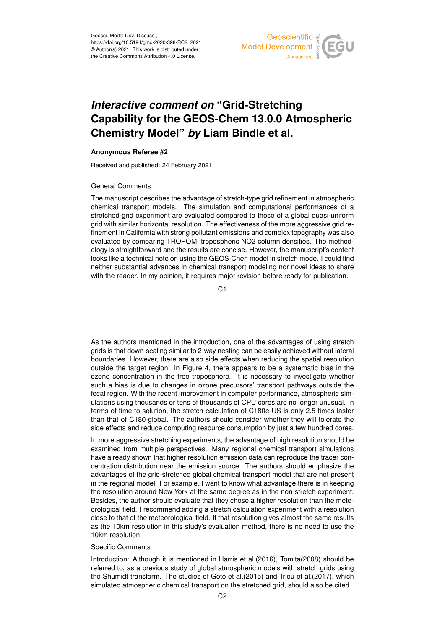

# *Interactive comment on* **"Grid-Stretching Capability for the GEOS-Chem 13.0.0 Atmospheric Chemistry Model"** *by* **Liam Bindle et al.**

## **Anonymous Referee #2**

Received and published: 24 February 2021

### General Comments

The manuscript describes the advantage of stretch-type grid refinement in atmospheric chemical transport models. The simulation and computational performances of a stretched-grid experiment are evaluated compared to those of a global quasi-uniform grid with similar horizontal resolution. The effectiveness of the more aggressive grid refinement in California with strong pollutant emissions and complex topography was also evaluated by comparing TROPOMI tropospheric NO2 column densities. The methodology is straightforward and the results are concise. However, the manuscript's content looks like a technical note on using the GEOS-Chen model in stretch mode. I could find neither substantial advances in chemical transport modeling nor novel ideas to share with the reader. In my opinion, it requires major revision before ready for publication.

C<sub>1</sub>

As the authors mentioned in the introduction, one of the advantages of using stretch grids is that down-scaling similar to 2-way nesting can be easily achieved without lateral boundaries. However, there are also side effects when reducing the spatial resolution outside the target region: In Figure 4, there appears to be a systematic bias in the ozone concentration in the free troposphere. It is necessary to investigate whether such a bias is due to changes in ozone precursors' transport pathways outside the focal region. With the recent improvement in computer performance, atmospheric simulations using thousands or tens of thousands of CPU cores are no longer unusual. In terms of time-to-solution, the stretch calculation of C180e-US is only 2.5 times faster than that of C180-global. The authors should consider whether they will tolerate the side effects and reduce computing resource consumption by just a few hundred cores.

In more aggressive stretching experiments, the advantage of high resolution should be examined from multiple perspectives. Many regional chemical transport simulations have already shown that higher resolution emission data can reproduce the tracer concentration distribution near the emission source. The authors should emphasize the advantages of the grid-stretched global chemical transport model that are not present in the regional model. For example, I want to know what advantage there is in keeping the resolution around New York at the same degree as in the non-stretch experiment. Besides, the author should evaluate that they chose a higher resolution than the meteorological field. I recommend adding a stretch calculation experiment with a resolution close to that of the meteorological field. If that resolution gives almost the same results as the 10km resolution in this study's evaluation method, there is no need to use the 10km resolution.

#### Specific Comments

Introduction: Although it is mentioned in Harris et al.(2016), Tomita(2008) should be referred to, as a previous study of global atmospheric models with stretch grids using the Shumidt transform. The studies of Goto et al.(2015) and Trieu et al.(2017), which simulated atmospheric chemical transport on the stretched grid, should also be cited.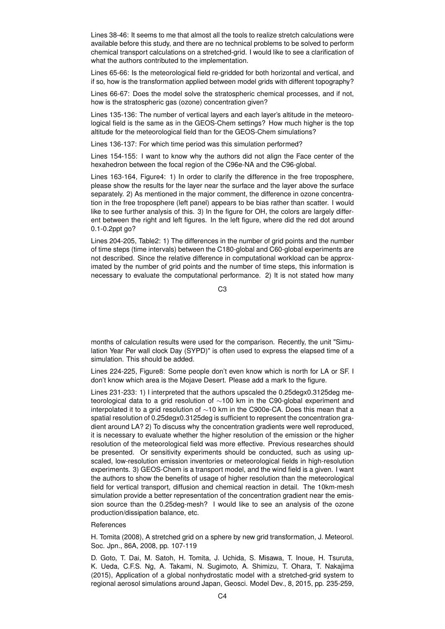Lines 38-46: It seems to me that almost all the tools to realize stretch calculations were available before this study, and there are no technical problems to be solved to perform chemical transport calculations on a stretched-grid. I would like to see a clarification of what the authors contributed to the implementation.

Lines 65-66: Is the meteorological field re-gridded for both horizontal and vertical, and if so, how is the transformation applied between model grids with different topography?

Lines 66-67: Does the model solve the stratospheric chemical processes, and if not, how is the stratospheric gas (ozone) concentration given?

Lines 135-136: The number of vertical layers and each layer's altitude in the meteorological field is the same as in the GEOS-Chem settings? How much higher is the top altitude for the meteorological field than for the GEOS-Chem simulations?

Lines 136-137: For which time period was this simulation performed?

Lines 154-155: I want to know why the authors did not align the Face center of the hexahedron between the focal region of the C96e-NA and the C96-global.

Lines 163-164, Figure4: 1) In order to clarify the difference in the free troposphere, please show the results for the layer near the surface and the layer above the surface separately. 2) As mentioned in the major comment, the difference in ozone concentration in the free troposphere (left panel) appears to be bias rather than scatter. I would like to see further analysis of this. 3) In the figure for OH, the colors are largely different between the right and left figures. In the left figure, where did the red dot around 0.1-0.2ppt go?

Lines 204-205, Table2: 1) The differences in the number of grid points and the number of time steps (time intervals) between the C180-global and C60-global experiments are not described. Since the relative difference in computational workload can be approximated by the number of grid points and the number of time steps, this information is necessary to evaluate the computational performance. 2) It is not stated how many

C3

months of calculation results were used for the comparison. Recently, the unit "Simulation Year Per wall clock Day (SYPD)" is often used to express the elapsed time of a simulation. This should be added.

Lines 224-225, Figure8: Some people don't even know which is north for LA or SF. I don't know which area is the Mojave Desert. Please add a mark to the figure.

Lines 231-233: 1) I interpreted that the authors upscaled the 0.25degx0.3125deg meteorological data to a grid resolution of ∼100 km in the C90-global experiment and interpolated it to a grid resolution of ∼10 km in the C900e-CA. Does this mean that a spatial resolution of 0.25degx0.3125deg is sufficient to represent the concentration gradient around LA? 2) To discuss why the concentration gradients were well reproduced, it is necessary to evaluate whether the higher resolution of the emission or the higher resolution of the meteorological field was more effective. Previous researches should be presented. Or sensitivity experiments should be conducted, such as using upscaled, low-resolution emission inventories or meteorological fields in high-resolution experiments. 3) GEOS-Chem is a transport model, and the wind field is a given. I want the authors to show the benefits of usage of higher resolution than the meteorological field for vertical transport, diffusion and chemical reaction in detail. The 10km-mesh simulation provide a better representation of the concentration gradient near the emission source than the 0.25deg-mesh? I would like to see an analysis of the ozone production/dissipation balance, etc.

### **References**

H. Tomita (2008), A stretched grid on a sphere by new grid transformation, J. Meteorol. Soc. Jpn., 86A, 2008, pp. 107-119

D. Goto, T. Dai, M. Satoh, H. Tomita, J. Uchida, S. Misawa, T. Inoue, H. Tsuruta, K. Ueda, C.F.S. Ng, A. Takami, N. Sugimoto, A. Shimizu, T. Ohara, T. Nakajima (2015), Application of a global nonhydrostatic model with a stretched-grid system to regional aerosol simulations around Japan, Geosci. Model Dev., 8, 2015, pp. 235-259,